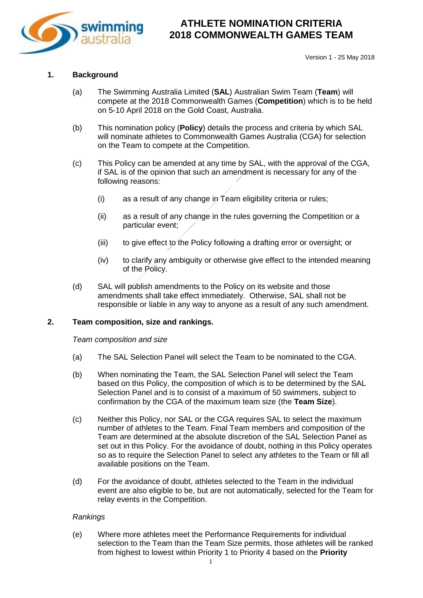

#### **1. Background**

- (a) The Swimming Australia Limited (**SAL**) Australian Swim Team (**Team**) will compete at the 2018 Commonwealth Games (**Competition**) which is to be held on 5-10 April 2018 on the Gold Coast, Australia.
- (b) This nomination policy (**Policy**) details the process and criteria by which SAL will nominate athletes to Commonwealth Games Australia (CGA) for selection on the Team to compete at the Competition.
- (c) This Policy can be amended at any time by SAL, with the approval of the CGA, if SAL is of the opinion that such an amendment is necessary for any of the following reasons:
	- (i) as a result of any change in Team eligibility criteria or rules;
	- (ii) as a result of any change in the rules governing the Competition or a particular event;
	- (iii) to give effect to the Policy following a drafting error or oversight; or
	- (iv) to clarify any ambiguity or otherwise give effect to the intended meaning of the Policy.
- (d) SAL will publish amendments to the Policy on its website and those amendments shall take effect immediately. Otherwise, SAL shall not be responsible or liable in any way to anyone as a result of any such amendment.

#### <span id="page-0-0"></span>**2. Team composition, size and rankings.**

*Team composition and size*

- (a) The SAL Selection Panel will select the Team to be nominated to the CGA.
- (b) When nominating the Team, the SAL Selection Panel will select the Team based on this Policy, the composition of which is to be determined by the SAL Selection Panel and is to consist of a maximum of 50 swimmers, subject to confirmation by the CGA of the maximum team size (the **Team Size**).
- (c) Neither this Policy, nor SAL or the CGA requires SAL to select the maximum number of athletes to the Team. Final Team members and composition of the Team are determined at the absolute discretion of the SAL Selection Panel as set out in this Policy. For the avoidance of doubt, nothing in this Policy operates so as to require the Selection Panel to select any athletes to the Team or fill all available positions on the Team.
- (d) For the avoidance of doubt, athletes selected to the Team in the individual event are also eligible to be, but are not automatically, selected for the Team for relay events in the Competition.

#### *Rankings*

(e) Where more athletes meet the Performance Requirements for individual selection to the Team than the Team Size permits, those athletes will be ranked from highest to lowest within Priority 1 to Priority 4 based on the **Priority**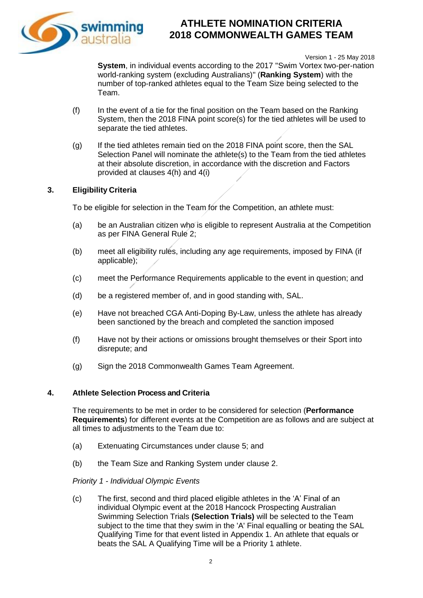

Version 1 - 25 May 2018

**System**, in individual events according to the 2017 "Swim Vortex two-per-nation world-ranking system (excluding Australians)" (**Ranking System**) with the number of top-ranked athletes equal to the Team Size being selected to the Team.

- (f) In the event of a tie for the final position on the Team based on the Ranking System, then the 2018 FINA point score(s) for the tied athletes will be used to separate the tied athletes.
- (g) If the tied athletes remain tied on the 2018 FINA point score, then the SAL Selection Panel will nominate the athlete(s) to the Team from the tied athletes at their absolute discretion, in accordance with the discretion and Factors provided at clauses [4\(h\)](#page-2-0) and [4\(i\)](#page-2-1)

### **3. Eligibility Criteria**

To be eligible for selection in the Team for the Competition, an athlete must:

- (a) be an Australian citizen who is eligible to represent Australia at the Competition as per FINA General Rule 2;
- (b) meet all eligibility rules, including any age requirements, imposed by FINA (if applicable);
- (c) meet the Performance Requirements applicable to the event in question; and
- (d) be a registered member of, and in good standing with, SAL.
- (e) Have not breached CGA Anti-Doping By-Law, unless the athlete has already been sanctioned by the breach and completed the sanction imposed
- (f) Have not by their actions or omissions brought themselves or their Sport into disrepute; and
- (g) Sign the 2018 Commonwealth Games Team Agreement.

#### **4. Athlete Selection Process and Criteria**

The requirements to be met in order to be considered for selection (**Performance Requirements**) for different events at the Competition are as follows and are subject at all times to adjustments to the Team due to:

- (a) Extenuating Circumstances under clause [5;](#page-3-0) and
- (b) the Team Size and Ranking System under clause [2.](#page-0-0)

### *Priority 1 - Individual Olympic Events*

(c) The first, second and third placed eligible athletes in the 'A' Final of an individual Olympic event at the 2018 Hancock Prospecting Australian Swimming Selection Trials **(Selection Trials)** will be selected to the Team subject to the time that they swim in the 'A' Final equalling or beating the SAL Qualifying Time for that event listed in Appendix 1. An athlete that equals or beats the SAL A Qualifying Time will be a Priority 1 athlete.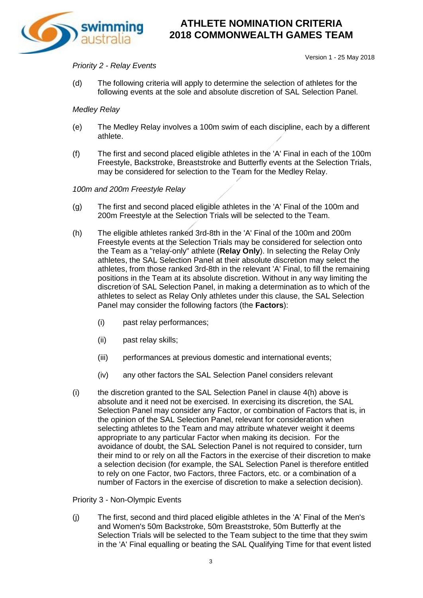

#### Version 1 - 25 May 2018

#### *Priority 2 - Relay Events*

(d) The following criteria will apply to determine the selection of athletes for the following events at the sole and absolute discretion of SAL Selection Panel.

#### *Medley Relay*

- (e) The Medley Relay involves a 100m swim of each discipline, each by a different athlete.
- (f) The first and second placed eligible athletes in the 'A' Final in each of the 100m Freestyle, Backstroke, Breaststroke and Butterfly events at the Selection Trials, may be considered for selection to the Team for the Medley Relay.

#### *100m and 200m Freestyle Relay*

- (g) The first and second placed eligible athletes in the 'A' Final of the 100m and 200m Freestyle at the Selection Trials will be selected to the Team.
- <span id="page-2-0"></span>(h) The eligible athletes ranked 3rd-8th in the 'A' Final of the 100m and 200m Freestyle events at the Selection Trials may be considered for selection onto the Team as a "relay-only" athlete (**Relay Only**). In selecting the Relay Only athletes, the SAL Selection Panel at their absolute discretion may select the athletes, from those ranked 3rd-8th in the relevant 'A' Final, to fill the remaining positions in the Team at its absolute discretion. Without in any way limiting the discretion of SAL Selection Panel, in making a determination as to which of the athletes to select as Relay Only athletes under this clause, the SAL Selection Panel may consider the following factors (the **Factors**):
	- (i) past relay performances;
	- (ii) past relay skills;
	- (iii) performances at previous domestic and international events;
	- (iv) any other factors the SAL Selection Panel considers relevant
- <span id="page-2-1"></span> $(i)$  the discretion granted to the SAL Selection Panel in clause  $4(h)$  above is absolute and it need not be exercised. In exercising its discretion, the SAL Selection Panel may consider any Factor, or combination of Factors that is, in the opinion of the SAL Selection Panel, relevant for consideration when selecting athletes to the Team and may attribute whatever weight it deems appropriate to any particular Factor when making its decision. For the avoidance of doubt, the SAL Selection Panel is not required to consider, turn their mind to or rely on all the Factors in the exercise of their discretion to make a selection decision (for example, the SAL Selection Panel is therefore entitled to rely on one Factor, two Factors, three Factors, etc. or a combination of a number of Factors in the exercise of discretion to make a selection decision).

#### <span id="page-2-2"></span>Priority 3 - Non-Olympic Events

(j) The first, second and third placed eligible athletes in the 'A' Final of the Men's and Women's 50m Backstroke, 50m Breaststroke, 50m Butterfly at the Selection Trials will be selected to the Team subject to the time that they swim in the 'A' Final equalling or beating the SAL Qualifying Time for that event listed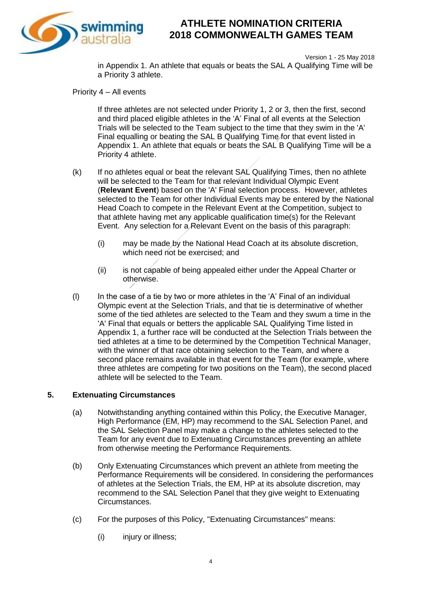

Version 1 - 25 May 2018 in Appendix 1. An athlete that equals or beats the SAL A Qualifying Time will be a Priority 3 athlete.

Priority 4 – All events

If three athletes are not selected under Priority 1, 2 or 3, then the first, second and third placed eligible athletes in the 'A' Final of all events at the Selection Trials will be selected to the Team subject to the time that they swim in the 'A' Final equalling or beating the SAL B Qualifying Time for that event listed in Appendix 1. An athlete that equals or beats the SAL B Qualifying Time will be a Priority 4 athlete.

- (k) If no athletes equal or beat the relevant SAL Qualifying Times, then no athlete will be selected to the Team for that relevant Individual Olympic Event (**Relevant Event**) based on the 'A' Final selection process. However, athletes selected to the Team for other Individual Events may be entered by the National Head Coach to compete in the Relevant Event at the Competition, subject to that athlete having met any applicable qualification time(s) for the Relevant Event. Any selection for a Relevant Event on the basis of this paragraph:
	- (i) may be made by the National Head Coach at its absolute discretion, which need not be exercised; and
	- (ii) is not capable of being appealed either under the Appeal Charter or otherwise.
- (l) In the case of a tie by two or more athletes in the 'A' Final of an individual Olympic event at the Selection Trials, and that tie is determinative of whether some of the tied athletes are selected to the Team and they swum a time in the 'A' Final that equals or betters the applicable SAL Qualifying Time listed in Appendix 1, a further race will be conducted at the Selection Trials between the tied athletes at a time to be determined by the Competition Technical Manager, with the winner of that race obtaining selection to the Team, and where a second place remains available in that event for the Team (for example, where three athletes are competing for two positions on the Team), the second placed athlete will be selected to the Team.

### <span id="page-3-0"></span>**5. Extenuating Circumstances**

- (a) Notwithstanding anything contained within this Policy, the Executive Manager, High Performance (EM, HP) may recommend to the SAL Selection Panel, and the SAL Selection Panel may make a change to the athletes selected to the Team for any event due to Extenuating Circumstances preventing an athlete from otherwise meeting the Performance Requirements.
- (b) Only Extenuating Circumstances which prevent an athlete from meeting the Performance Requirements will be considered. In considering the performances of athletes at the Selection Trials, the EM, HP at its absolute discretion, may recommend to the SAL Selection Panel that they give weight to Extenuating Circumstances.
- (c) For the purposes of this Policy, "Extenuating Circumstances" means:
	- (i) injury or illness;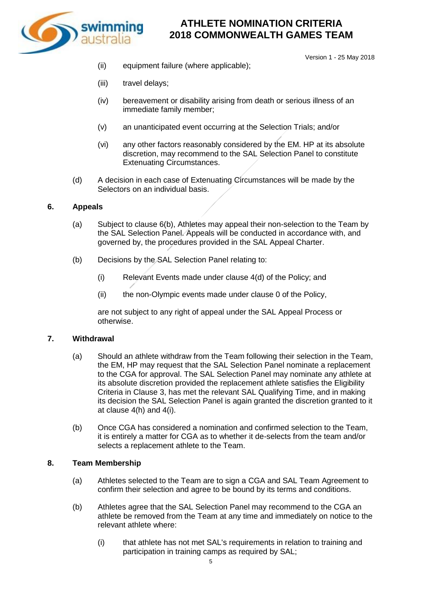

- Version 1 25 May 2018
- (ii) equipment failure (where applicable);
- (iii) travel delays;
- (iv) bereavement or disability arising from death or serious illness of an immediate family member;
- (v) an unanticipated event occurring at the Selection Trials; and/or
- (vi) any other factors reasonably considered by the EM. HP at its absolute discretion, may recommend to the SAL Selection Panel to constitute Extenuating Circumstances.
- (d) A decision in each case of Extenuating Circumstances will be made by the Selectors on an individual basis.

#### **6. Appeals**

- (a) Subject to clause [6\(b\),](#page-4-0) Athletes may appeal their non-selection to the Team by the SAL Selection Panel. Appeals will be conducted in accordance with, and governed by, the procedures provided in the SAL Appeal Charter.
- <span id="page-4-0"></span>(b) Decisions by the SAL Selection Panel relating to:
	- (i) Relevant Events made under clause 4(d) of the Policy; and
	- (ii) the non-Olympic events made under clause [0](#page-2-2) of the Policy,

are not subject to any right of appeal under the SAL Appeal Process or otherwise.

#### **7. Withdrawal**

- (a) Should an athlete withdraw from the Team following their selection in the Team, the EM, HP may request that the SAL Selection Panel nominate a replacement to the CGA for approval. The SAL Selection Panel may nominate any athlete at its absolute discretion provided the replacement athlete satisfies the Eligibility Criteria in Clause 3, has met the relevant SAL Qualifying Time, and in making its decision the SAL Selection Panel is again granted the discretion granted to it at clause [4\(h\)](#page-2-0) and [4\(i\).](#page-2-1)
- (b) Once CGA has considered a nomination and confirmed selection to the Team, it is entirely a matter for CGA as to whether it de-selects from the team and/or selects a replacement athlete to the Team.

#### **8. Team Membership**

- (a) Athletes selected to the Team are to sign a CGA and SAL Team Agreement to confirm their selection and agree to be bound by its terms and conditions.
- (b) Athletes agree that the SAL Selection Panel may recommend to the CGA an athlete be removed from the Team at any time and immediately on notice to the relevant athlete where:
	- (i) that athlete has not met SAL's requirements in relation to training and participation in training camps as required by SAL;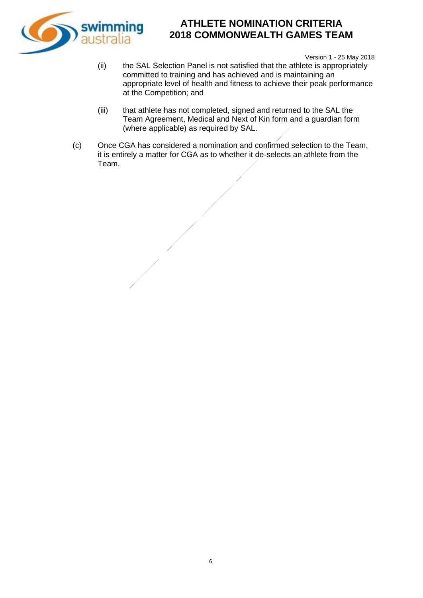

Version 1 - 25 May 2018

- (ii) the SAL Selection Panel is not satisfied that the athlete is appropriately committed to training and has achieved and is maintaining an appropriate level of health and fitness to achieve their peak performance at the Competition; and
- (iii) that athlete has not completed, signed and returned to the SAL the Team Agreement, Medical and Next of Kin form and a guardian form (where applicable) as required by SAL.
- (c) Once CGA has considered a nomination and confirmed selection to the Team, it is entirely a matter for CGA as to whether it de-selects an athlete from the Team.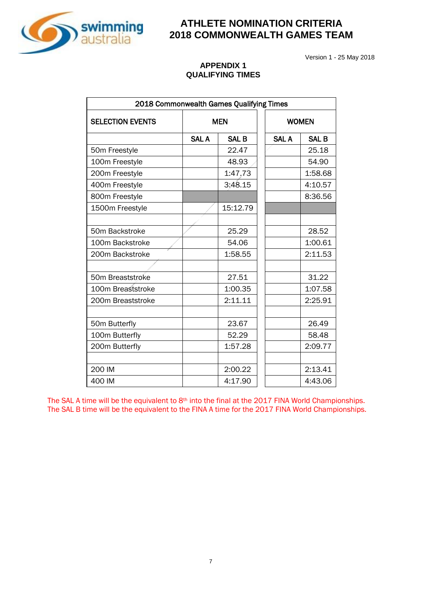

Version 1 - 25 May 2018

#### **APPENDIX 1 QUALIFYING TIMES**

| 2018 Commonwealth Games Qualifying Times |              |              |              |              |
|------------------------------------------|--------------|--------------|--------------|--------------|
| <b>SELECTION EVENTS</b>                  | <b>MEN</b>   |              | <b>WOMEN</b> |              |
|                                          | <b>SAL A</b> | <b>SAL B</b> | <b>SAL A</b> | <b>SAL B</b> |
| 50m Freestyle                            |              | 22.47        |              | 25.18        |
| 100m Freestyle                           |              | 48.93        |              | 54.90        |
| 200m Freestyle                           |              | 1:47.73      |              | 1:58.68      |
| 400m Freestyle                           |              | 3:48.15      |              | 4:10.57      |
| 800m Freestyle                           |              |              |              | 8:36.56      |
| 1500m Freestyle                          |              | 15:12.79     |              |              |
|                                          |              |              |              |              |
| 50m Backstroke                           |              | 25.29        |              | 28.52        |
| 100m Backstroke                          |              | 54.06        |              | 1:00.61      |
| 200m Backstroke                          |              | 1:58.55      |              | 2:11.53      |
|                                          |              |              |              |              |
| 50m Breaststroke                         |              | 27.51        |              | 31.22        |
| 100m Breaststroke                        |              | 1:00.35      |              | 1:07.58      |
| 200m Breaststroke                        |              | 2:11.11      |              | 2:25.91      |
|                                          |              |              |              |              |
| 50m Butterfly                            |              | 23.67        |              | 26.49        |
| 100m Butterfly                           |              | 52.29        |              | 58.48        |
| 200m Butterfly                           |              | 1:57.28      |              | 2:09.77      |
|                                          |              |              |              |              |
| 200 IM                                   |              | 2:00.22      |              | 2:13.41      |
| 400 IM                                   |              | 4:17.90      |              | 4:43.06      |

The SAL A time will be the equivalent to 8<sup>th</sup> into the final at the 2017 FINA World Championships. The SAL B time will be the equivalent to the FINA A time for the 2017 FINA World Championships.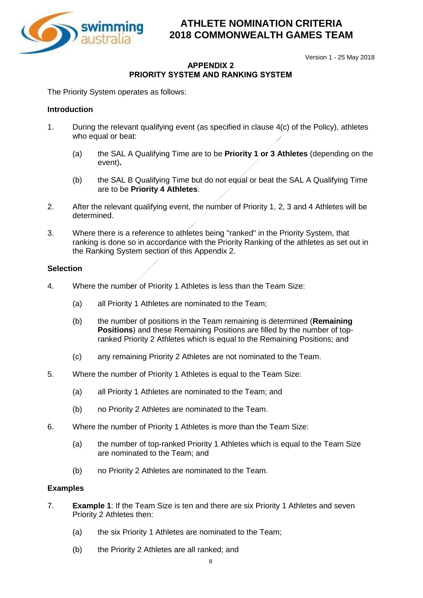

Version 1 - 25 May 2018

### **APPENDIX 2 PRIORITY SYSTEM AND RANKING SYSTEM**

The Priority System operates as follows:

### **Introduction**

- 1. During the relevant qualifying event (as specified in clause 4(c) of the Policy), athletes who equal or beat:
	- (a) the SAL A Qualifying Time are to be **Priority 1 or 3 Athletes** (depending on the event)**.**
	- (b) the SAL B Qualifying Time but do not equal or beat the SAL A Qualifying Time are to be **Priority 4 Athletes**.
- 2. After the relevant qualifying event, the number of Priority 1, 2, 3 and 4 Athletes will be determined.
- 3. Where there is a reference to athletes being "ranked" in the Priority System, that ranking is done so in accordance with the Priority Ranking of the athletes as set out in the Ranking System section of this Appendix 2.

### **Selection**

- 4. Where the number of Priority 1 Athletes is less than the Team Size:
	- (a) all Priority 1 Athletes are nominated to the Team;
	- (b) the number of positions in the Team remaining is determined (**Remaining Positions**) and these Remaining Positions are filled by the number of topranked Priority 2 Athletes which is equal to the Remaining Positions; and
	- (c) any remaining Priority 2 Athletes are not nominated to the Team.
- 5. Where the number of Priority 1 Athletes is equal to the Team Size:
	- (a) all Priority 1 Athletes are nominated to the Team; and
	- (b) no Priority 2 Athletes are nominated to the Team.
- 6. Where the number of Priority 1 Athletes is more than the Team Size:
	- (a) the number of top-ranked Priority 1 Athletes which is equal to the Team Size are nominated to the Team; and
	- (b) no Priority 2 Athletes are nominated to the Team.

### **Examples**

- 7. **Example 1**: If the Team Size is ten and there are six Priority 1 Athletes and seven Priority 2 Athletes then:
	- (a) the six Priority 1 Athletes are nominated to the Team;
	- (b) the Priority 2 Athletes are all ranked; and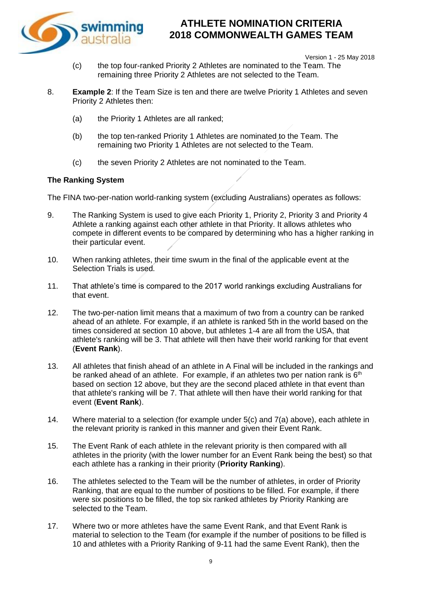

Version 1 - 25 May 2018

- (c) the top four-ranked Priority 2 Athletes are nominated to the Team. The remaining three Priority 2 Athletes are not selected to the Team.
- 8. **Example 2**: If the Team Size is ten and there are twelve Priority 1 Athletes and seven Priority 2 Athletes then:
	- (a) the Priority 1 Athletes are all ranked;
	- (b) the top ten-ranked Priority 1 Athletes are nominated to the Team. The remaining two Priority 1 Athletes are not selected to the Team.
	- (c) the seven Priority 2 Athletes are not nominated to the Team.

### **The Ranking System**

The FINA two-per-nation world-ranking system (excluding Australians) operates as follows:

- 9. The Ranking System is used to give each Priority 1, Priority 2, Priority 3 and Priority 4 Athlete a ranking against each other athlete in that Priority. It allows athletes who compete in different events to be compared by determining who has a higher ranking in their particular event.
- 10. When ranking athletes, their time swum in the final of the applicable event at the Selection Trials is used.
- 11. That athlete's time is compared to the 2017 world rankings excluding Australians for that event.
- 12. The two-per-nation limit means that a maximum of two from a country can be ranked ahead of an athlete. For example, if an athlete is ranked 5th in the world based on the times considered at section 10 above, but athletes 1-4 are all from the USA, that athlete's ranking will be 3. That athlete will then have their world ranking for that event (**Event Rank**).
- 13. All athletes that finish ahead of an athlete in A Final will be included in the rankings and be ranked ahead of an athlete. For example, if an athletes two per nation rank is  $6<sup>th</sup>$ based on section 12 above, but they are the second placed athlete in that event than that athlete's ranking will be 7. That athlete will then have their world ranking for that event (**Event Rank**).
- 14. Where material to a selection (for example under 5(c) and 7(a) above), each athlete in the relevant priority is ranked in this manner and given their Event Rank.
- 15. The Event Rank of each athlete in the relevant priority is then compared with all athletes in the priority (with the lower number for an Event Rank being the best) so that each athlete has a ranking in their priority (**Priority Ranking**).
- 16. The athletes selected to the Team will be the number of athletes, in order of Priority Ranking, that are equal to the number of positions to be filled. For example, if there were six positions to be filled, the top six ranked athletes by Priority Ranking are selected to the Team.
- 17. Where two or more athletes have the same Event Rank, and that Event Rank is material to selection to the Team (for example if the number of positions to be filled is 10 and athletes with a Priority Ranking of 9-11 had the same Event Rank), then the